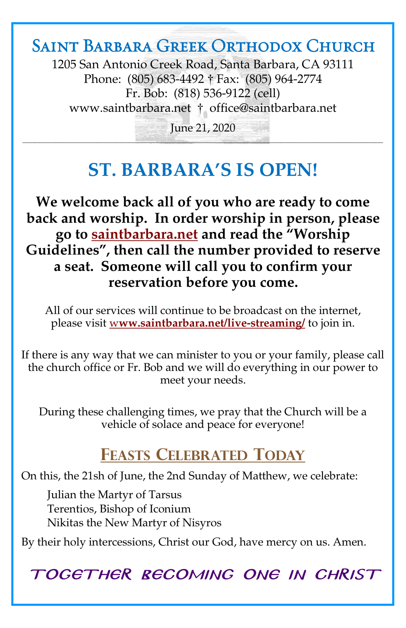## Saint Barbara Greek Orthodox Church

1205 San Antonio Creek Road, Santa Barbara, CA 93111 Phone: (805) 683-4492 † Fax: (805) 964-2774 Fr. Bob: (818) 536-9122 (cell) [www.saintbarbara.net](http://www.saintbarbara.net) † [office@saintbarbara.net](mailto:office@saintbarbara.net)

June 21, 2020  $\frac{1}{2}$  and  $\frac{1}{2}$  and  $\frac{1}{2}$  and  $\frac{1}{2}$  and  $\frac{1}{2}$  and  $\frac{1}{2}$  and  $\frac{1}{2}$  and  $\frac{1}{2}$  and  $\frac{1}{2}$  and  $\frac{1}{2}$  and  $\frac{1}{2}$ 

# **ST. BARBARA'S IS OPEN!**

**We welcome back all of you who are ready to come back and worship. In order worship in person, please go to [saintbarbara.net](http://www.saintbarbara.net) and read the "Worship Guidelines", then call the number provided to reserve a seat. Someone will call you to confirm your reservation before you come.**

All of our services will continue to be broadcast on the internet, please visit w**[ww.saintbarbara.net/live-streaming/](http://www.saintbarbara.net/live-streaming/)** to join in.

If there is any way that we can minister to you or your family, please call the church office or Fr. Bob and we will do everything in our power to meet your needs.

During these challenging times, we pray that the Church will be a vehicle of solace and peace for everyone!

## **FEASTS CELEBRATED TODAY**

On this, the 21sh of June, the 2nd Sunday of Matthew, we celebrate:

Julian the Martyr of Tarsus Terentios, Bishop of Iconium Nikitas the New Martyr of Nisyros

By their holy intercessions, Christ our God, have mercy on us. Amen.

TOGETHER BECOMING ONE IN CHRIST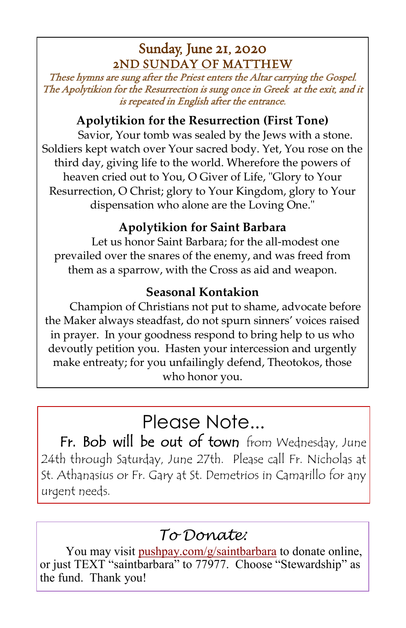### Sunday, June 21, 2020 2ND SUNDAY OF MATTHEW

These hymns are sung after the Priest enters the Altar carrying the Gospel. The Apolytikion for the Resurrection is sung once in Greek at the exit, and it is repeated in English after the entrance.

#### **Apolytikion for the Resurrection (First Tone)**

Savior, Your tomb was sealed by the Jews with a stone. Soldiers kept watch over Your sacred body. Yet, You rose on the third day, giving life to the world. Wherefore the powers of heaven cried out to You, O Giver of Life, "Glory to Your Resurrection, O Christ; glory to Your Kingdom, glory to Your dispensation who alone are the Loving One."

#### **Apolytikion for Saint Barbara**

Let us honor Saint Barbara; for the all-modest one prevailed over the snares of the enemy, and was freed from them as a sparrow, with the Cross as aid and weapon.

#### **Seasonal Kontakion**

Champion of Christians not put to shame, advocate before the Maker always steadfast, do not spurn sinners' voices raised in prayer. In your goodness respond to bring help to us who devoutly petition you. Hasten your intercession and urgently make entreaty; for you unfailingly defend, Theotokos, those who honor you.

# Please Note...

Fr. Bob will be out of town from Wednesday, June 24th through Saturday, June 27th. Please call Fr. Nicholas at St. Athanasius or Fr. Gary at St. Demetrios in Camarillo for any urgent needs.

## *To Donate:*

You may visit <pushpay.com/g/saintbarbara> to donate online, or just TEXT "saintbarbara" to 77977. Choose "Stewardship" as the fund. Thank you!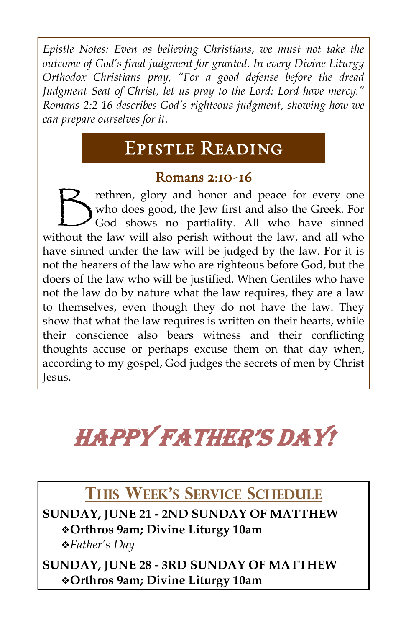*Epistle Notes: Even as believing Christians, we must not take the outcome of God's final judgment for granted. In every Divine Liturgy Orthodox Christians pray, "For a good defense before the dread Judgment Seat of Christ, let us pray to the Lord: Lord have mercy." Romans 2:2-16 describes God's righteous judgment, showing how we can prepare ourselves for it.*

# Epistle Reading

#### Romans 2:10-16

 $\bigtriangledown$ rethren, glory and honor and peace for every one who does good, the Jew first and also the Greek. For God shows no partiality. All who have sinned without the law will also perish without the law, and all who have sinned under the law will be judged by the law. For it is not the hearers of the law who are righteous before God, but the doers of the law who will be justified. When Gentiles who have not the law do by nature what the law requires, they are a law to themselves, even though they do not have the law. They show that what the law requires is written on their hearts, while their conscience also bears witness and their conflicting thoughts accuse or perhaps excuse them on that day when, according to my gospel, God judges the secrets of men by Christ Jesus.

# Happy fatHer's day!

# **THIS WEEK'S SERVICE SCHEDULE**

**SUNDAY, JUNE 21 - 2ND SUNDAY OF MATTHEW** ❖**Orthros 9am; Divine Liturgy 10am** ❖*Father's Day*

**SUNDAY, JUNE 28 - 3RD SUNDAY OF MATTHEW** ❖**Orthros 9am; Divine Liturgy 10am**